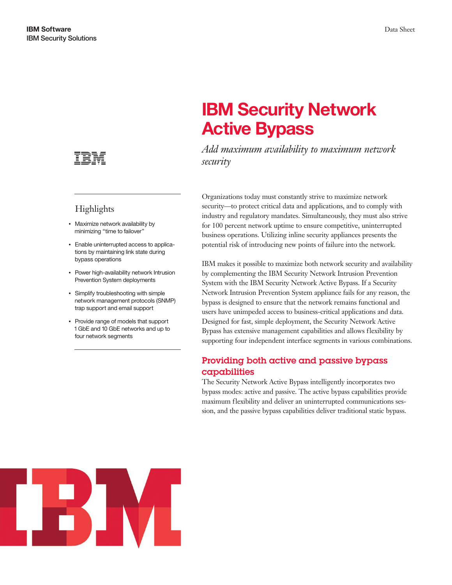

## **Highlights**

- Maximize network availability by minimizing "time to failover"
- Enable uninterrupted access to applications by maintaining link state during bypass operations
- Power high-availability network Intrusion Prevention System deployments
- Simplify troubleshooting with simple network management protocols (SNMP) trap support and email support
- Provide range of models that support 1 GbE and 10 GbE networks and up to four network segments

# **IBM Security Network Active Bypass**

*Add maximum availability to maximum network security*

Organizations today must constantly strive to maximize network security—to protect critical data and applications, and to comply with industry and regulatory mandates. Simultaneously, they must also strive for 100 percent network uptime to ensure competitive, uninterrupted business operations. Utilizing inline security appliances presents the potential risk of introducing new points of failure into the network.

IBM makes it possible to maximize both network security and availability by complementing the IBM Security Network Intrusion Prevention System with the IBM Security Network Active Bypass. If a Security Network Intrusion Prevention System appliance fails for any reason, the bypass is designed to ensure that the network remains functional and users have unimpeded access to business-critical applications and data. Designed for fast, simple deployment, the Security Network Active Bypass has extensive management capabilities and allows flexibility by supporting four independent interface segments in various combinations.

#### Providing both active and passive bypass capabilities

The Security Network Active Bypass intelligently incorporates two bypass modes: active and passive. The active bypass capabilities provide maximum flexibility and deliver an uninterrupted communications session, and the passive bypass capabilities deliver traditional static bypass.

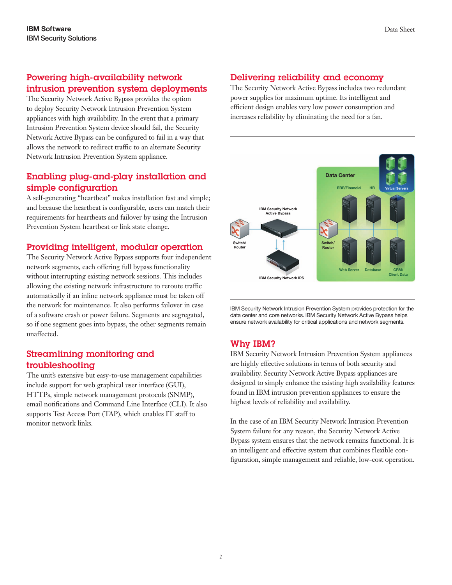#### Powering high-availability network intrusion prevention system deployments

The Security Network Active Bypass provides the option to deploy Security Network Intrusion Prevention System appliances with high availability. In the event that a primary Intrusion Prevention System device should fail, the Security Network Active Bypass can be configured to fail in a way that allows the network to redirect traffic to an alternate Security Network Intrusion Prevention System appliance.

#### Enabling plug-and-play installation and simple configuration

A self-generating "heartbeat" makes installation fast and simple; and because the heartbeat is configurable, users can match their requirements for heartbeats and failover by using the Intrusion Prevention System heartbeat or link state change.

#### Providing intelligent, modular operation

The Security Network Active Bypass supports four independent network segments, each offering full bypass functionality without interrupting existing network sessions. This includes allowing the existing network infrastructure to reroute traffic automatically if an inline network appliance must be taken off the network for maintenance. It also performs failover in case of a software crash or power failure. Segments are segregated, so if one segment goes into bypass, the other segments remain unaffected.

#### Streamlining monitoring and troubleshooting

The unit's extensive but easy-to-use management capabilities include support for web graphical user interface (GUI), HTTPs, simple network management protocols (SNMP), email notifications and Command Line Interface (CLI). It also supports Test Access Port (TAP), which enables IT staff to monitor network links.

#### Delivering reliability and economy

The Security Network Active Bypass includes two redundant power supplies for maximum uptime. Its intelligent and efficient design enables very low power consumption and increases reliability by eliminating the need for a fan.



IBM Security Network Intrusion Prevention System provides protection for the data center and core networks. IBM Security Network Active Bypass helps ensure network availability for critical applications and network segments.

### Why IBM?

IBM Security Network Intrusion Prevention System appliances are highly effective solutions in terms of both security and availability. Security Network Active Bypass appliances are designed to simply enhance the existing high availability features found in IBM intrusion prevention appliances to ensure the highest levels of reliability and availability.

In the case of an IBM Security Network Intrusion Prevention System failure for any reason, the Security Network Active Bypass system ensures that the network remains functional. It is an intelligent and effective system that combines flexible configuration, simple management and reliable, low-cost operation.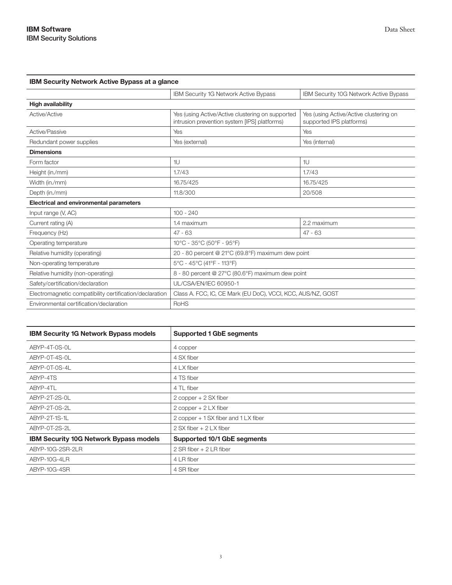| <b>IBM Security Network Active Bypass at a glance</b>   |                                                                                                  |                                                                    |
|---------------------------------------------------------|--------------------------------------------------------------------------------------------------|--------------------------------------------------------------------|
|                                                         | <b>IBM Security 1G Network Active Bypass</b>                                                     | IBM Security 10G Network Active Bypass                             |
| <b>High availability</b>                                |                                                                                                  |                                                                    |
| Active/Active                                           | Yes (using Active/Active clustering on supported<br>intrusion prevention system [IPS] platforms) | Yes (using Active/Active clustering on<br>supported IPS platforms) |
| Active/Passive                                          | Yes                                                                                              | Yes                                                                |
| Redundant power supplies                                | Yes (external)                                                                                   | Yes (internal)                                                     |
| <b>Dimensions</b>                                       |                                                                                                  |                                                                    |
| Form factor                                             | 1U                                                                                               | 1U                                                                 |
| Height (in./mm)                                         | 1.7/43                                                                                           | 1.7/43                                                             |
| Width (in./mm)                                          | 16.75/425                                                                                        | 16.75/425                                                          |
| Depth (in./mm)                                          | 11.8/300                                                                                         | 20/508                                                             |
| Electrical and environmental parameters                 |                                                                                                  |                                                                    |
| Input range (V, AC)                                     | $100 - 240$                                                                                      |                                                                    |
| Current rating (A)                                      | 1.4 maximum                                                                                      | 2.2 maximum                                                        |
| Frequency (Hz)                                          | $47 - 63$                                                                                        | $47 - 63$                                                          |
| Operating temperature                                   | 10°C - 35°C (50°F - 95°F)                                                                        |                                                                    |
| Relative humidity (operating)                           | 20 - 80 percent @ 21°C (69.8°F) maximum dew point                                                |                                                                    |
| Non-operating temperature                               | 5°C - 45°C (41°F - 113°F)                                                                        |                                                                    |
| Relative humidity (non-operating)                       | 8 - 80 percent @ 27°C (80.6°F) maximum dew point                                                 |                                                                    |
| Safety/certification/declaration                        | UL/CSA/EN/IEC 60950-1                                                                            |                                                                    |
| Electromagnetic compatibility certification/declaration | Class A. FCC, IC, CE Mark (EU DoC), VCCI, KCC, AUS/NZ, GOST                                      |                                                                    |
| Environmental certification/declaration                 | RoHS                                                                                             |                                                                    |

| <b>IBM Security 1G Network Bypass models</b>  | <b>Supported 1 GbE segments</b>      |
|-----------------------------------------------|--------------------------------------|
| ABYP-4T-0S-0L                                 | 4 copper                             |
| ABYP-0T-4S-0L                                 | 4 SX fiber                           |
| ABYP-0T-0S-4L                                 | 4 LX fiber                           |
| ABYP-4TS                                      | 4 TS fiber                           |
| ABYP-4TL                                      | 4 TL fiber                           |
| ABYP-2T-2S-0L                                 | 2 copper + 2 SX fiber                |
| ABYP-2T-0S-2L                                 | 2 copper + 2 LX fiber                |
| ABYP-2T-1S-1L                                 | 2 copper + 1 SX fiber and 1 LX fiber |
| ABYP-0T-2S-2L                                 | 2 SX fiber + 2 LX fiber              |
| <b>IBM Security 10G Network Bypass models</b> | Supported 10/1 GbE segments          |
| ABYP-10G-2SR-2LR                              | 2 SR fiber + 2 LR fiber              |
| ABYP-10G-4LR                                  | 4 LR fiber                           |
| ABYP-10G-4SR                                  | 4 SR fiber                           |